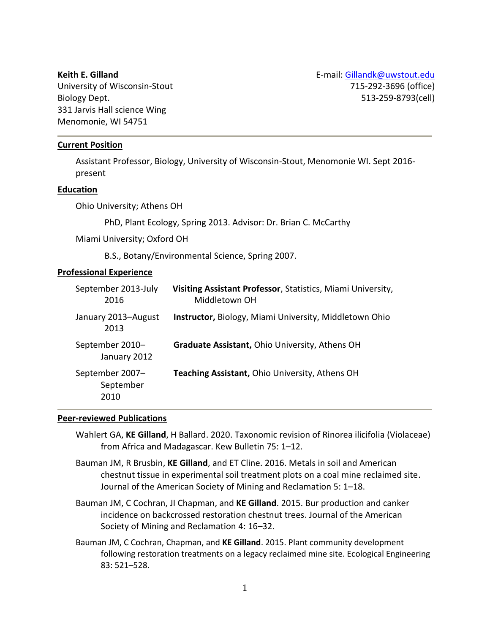**Keith E. Gilland**

University of Wisconsin-Stout Biology Dept. 331 Jarvis Hall science Wing Menomonie, WI 54751

#### **Current Position**

Assistant Professor, Biology, University of Wisconsin-Stout, Menomonie WI. Sept 2016 present

#### **Education**

Ohio University; Athens OH

PhD, Plant Ecology, Spring 2013. Advisor: Dr. Brian C. McCarthy

Miami University; Oxford OH

B.S., Botany/Environmental Science, Spring 2007.

### **Professional Experience**

| September 2013-July<br>2016          | Visiting Assistant Professor, Statistics, Miami University,<br>Middletown OH |
|--------------------------------------|------------------------------------------------------------------------------|
| January 2013-August<br>2013          | <b>Instructor, Biology, Miami University, Middletown Ohio</b>                |
| September 2010-<br>January 2012      | Graduate Assistant, Ohio University, Athens OH                               |
| September 2007-<br>September<br>2010 | Teaching Assistant, Ohio University, Athens OH                               |

## **Peer-reviewed Publications**

- Wahlert GA, **KE Gilland**, H Ballard. 2020. Taxonomic revision of Rinorea ilicifolia (Violaceae) from Africa and Madagascar. Kew Bulletin 75: 1–12.
- Bauman JM, R Brusbin, **KE Gilland**, and ET Cline. 2016. Metals in soil and American chestnut tissue in experimental soil treatment plots on a coal mine reclaimed site. Journal of the American Society of Mining and Reclamation 5: 1–18.
- Bauman JM, C Cochran, JI Chapman, and **KE Gilland**. 2015. Bur production and canker incidence on backcrossed restoration chestnut trees. Journal of the American Society of Mining and Reclamation 4: 16–32.
- Bauman JM, C Cochran, Chapman, and **KE Gilland**. 2015. Plant community development following restoration treatments on a legacy reclaimed mine site. Ecological Engineering 83: 521–528.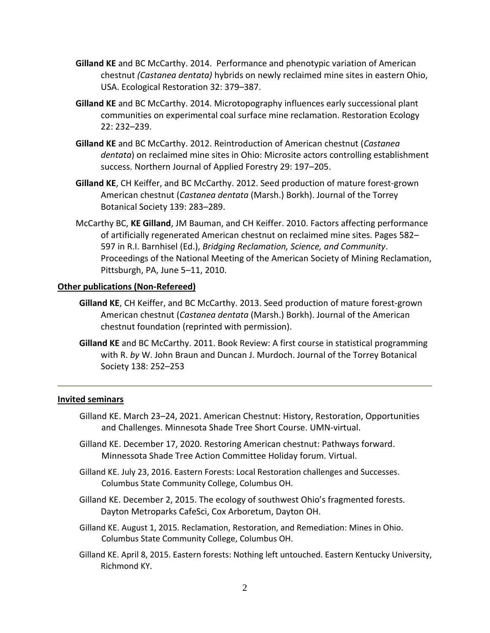- **Gilland KE** and BC McCarthy. 2014. Performance and phenotypic variation of American chestnut *(Castanea dentata)* hybrids on newly reclaimed mine sites in eastern Ohio, USA. Ecological Restoration 32: 379–387.
- **Gilland KE** and BC McCarthy. 2014. Microtopography influences early successional plant communities on experimental coal surface mine reclamation. Restoration Ecology 22: 232–239.
- **Gilland KE** and BC McCarthy. 2012. Reintroduction of American chestnut (*Castanea dentata*) on reclaimed mine sites in Ohio: Microsite actors controlling establishment success. Northern Journal of Applied Forestry 29: 197–205.
- **Gilland KE**, CH Keiffer, and BC McCarthy. 2012. Seed production of mature forest-grown American chestnut (*Castanea dentata* (Marsh.) Borkh). Journal of the Torrey Botanical Society 139: 283–289.
- McCarthy BC, **KE Gilland**, JM Bauman, and CH Keiffer. 2010. Factors affecting performance of artificially regenerated American chestnut on reclaimed mine sites. Pages 582– 597 in R.I. Barnhisel (Ed.), *Bridging Reclamation, Science, and Community*. Proceedings of the National Meeting of the American Society of Mining Reclamation, Pittsburgh, PA, June 5–11, 2010.

# **Other publications (Non-Refereed)**

- **Gilland KE**, CH Keiffer, and BC McCarthy. 2013. Seed production of mature forest-grown American chestnut (*Castanea dentata* (Marsh.) Borkh). Journal of the American chestnut foundation (reprinted with permission).
- **Gilland KE** and BC McCarthy. 2011. Book Review: A first course in statistical programming with R. *by* W. John Braun and Duncan J. Murdoch. Journal of the Torrey Botanical Society 138: 252–253

## **Invited seminars**

- Gilland KE. March 23–24, 2021. American Chestnut: History, Restoration, Opportunities and Challenges. Minnesota Shade Tree Short Course. UMN-virtual.
- Gilland KE. December 17, 2020. Restoring American chestnut: Pathways forward. Minnessota Shade Tree Action Committee Holiday forum. Virtual.
- Gilland KE. July 23, 2016. Eastern Forests: Local Restoration challenges and Successes. Columbus State Community College, Columbus OH.
- Gilland KE. December 2, 2015. The ecology of southwest Ohio's fragmented forests. Dayton Metroparks CafeSci, Cox Arboretum, Dayton OH.
- Gilland KE. August 1, 2015. Reclamation, Restoration, and Remediation: Mines in Ohio. Columbus State Community College, Columbus OH.
- Gilland KE. April 8, 2015. Eastern forests: Nothing left untouched. Eastern Kentucky University, Richmond KY.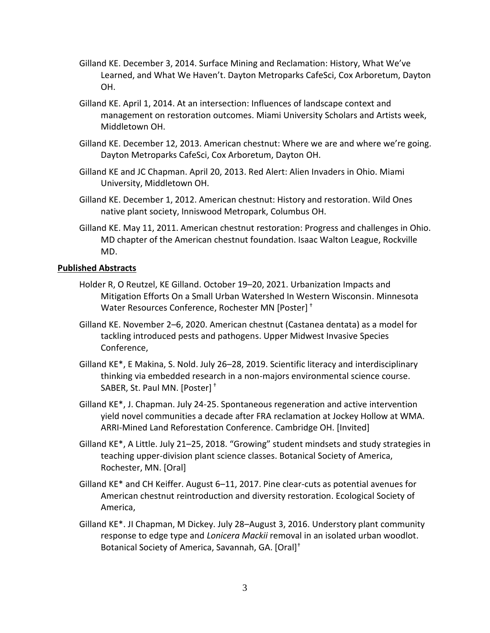- Gilland KE. December 3, 2014. Surface Mining and Reclamation: History, What We've Learned, and What We Haven't. Dayton Metroparks CafeSci, Cox Arboretum, Dayton OH.
- Gilland KE. April 1, 2014. At an intersection: Influences of landscape context and management on restoration outcomes. Miami University Scholars and Artists week, Middletown OH.
- Gilland KE. December 12, 2013. American chestnut: Where we are and where we're going. Dayton Metroparks CafeSci, Cox Arboretum, Dayton OH.
- Gilland KE and JC Chapman. April 20, 2013. Red Alert: Alien Invaders in Ohio. Miami University, Middletown OH.
- Gilland KE. December 1, 2012. American chestnut: History and restoration. Wild Ones native plant society, Inniswood Metropark, Columbus OH.
- Gilland KE. May 11, 2011. American chestnut restoration: Progress and challenges in Ohio. MD chapter of the American chestnut foundation. Isaac Walton League, Rockville MD.

# **Published Abstracts**

- Holder R, O Reutzel, KE Gilland. October 19–20, 2021. Urbanization Impacts and Mitigation Efforts On a Small Urban Watershed In Western Wisconsin. Minnesota Water Resources Conference, Rochester MN [Poster] †
- Gilland KE. November 2–6, 2020. American chestnut (Castanea dentata) as a model for tackling introduced pests and pathogens. Upper Midwest Invasive Species Conference,
- Gilland KE\*, E Makina, S. Nold. July 26–28, 2019. Scientific literacy and interdisciplinary thinking via embedded research in a non-majors environmental science course. SABER, St. Paul MN. [Poster] †
- Gilland KE\*, J. Chapman. July 24-25. Spontaneous regeneration and active intervention yield novel communities a decade after FRA reclamation at Jockey Hollow at WMA. ARRI-Mined Land Reforestation Conference. Cambridge OH. [Invited]
- Gilland KE\*, A Little. July 21–25, 2018. "Growing" student mindsets and study strategies in teaching upper-division plant science classes. Botanical Society of America, Rochester, MN. [Oral]
- Gilland KE\* and CH Keiffer. August 6–11, 2017. Pine clear-cuts as potential avenues for American chestnut reintroduction and diversity restoration. Ecological Society of America,
- Gilland KE\*. JI Chapman, M Dickey. July 28–August 3, 2016. Understory plant community response to edge type and *Lonicera Mackii* removal in an isolated urban woodlot. Botanical Society of America, Savannah, GA. [Oral]†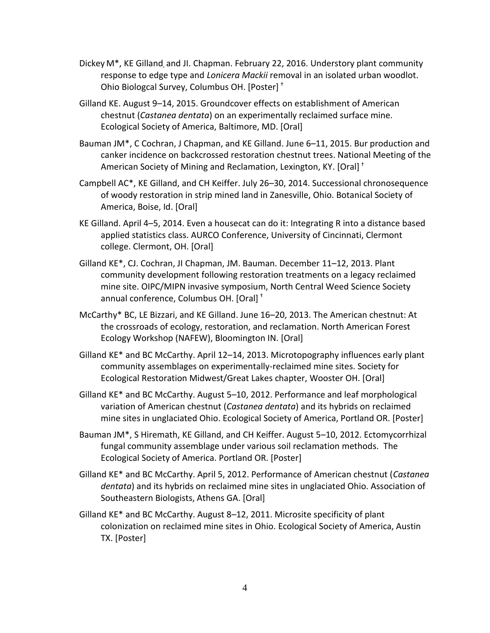- Dickey M\*, KE Gilland, and JI. Chapman. February 22, 2016. Understory plant community response to edge type and *Lonicera Mackii* removal in an isolated urban woodlot. Ohio Biologcal Survey, Columbus OH. [Poster] †
- Gilland KE. August 9–14, 2015. Groundcover effects on establishment of American chestnut (*Castanea dentata*) on an experimentally reclaimed surface mine. Ecological Society of America, Baltimore, MD. [Oral]
- Bauman JM\*, C Cochran, J Chapman, and KE Gilland. June 6–11, 2015. Bur production and canker incidence on backcrossed restoration chestnut trees. National Meeting of the American Society of Mining and Reclamation, Lexington, KY. [Oral] †
- Campbell AC\*, KE Gilland, and CH Keiffer. July 26–30, 2014. Successional chronosequence of woody restoration in strip mined land in Zanesville, Ohio. Botanical Society of America, Boise, Id. [Oral]
- KE Gilland. April 4–5, 2014. Even a housecat can do it: Integrating R into a distance based applied statistics class. AURCO Conference, University of Cincinnati, Clermont college. Clermont, OH. [Oral]
- Gilland KE\*, CJ. Cochran, JI Chapman, JM. Bauman. December 11–12, 2013. Plant community development following restoration treatments on a legacy reclaimed mine site. OIPC/MIPN invasive symposium, North Central Weed Science Society annual conference, Columbus OH. [Oral] †
- McCarthy\* BC, LE Bizzari, and KE Gilland. June 16–20, 2013. The American chestnut: At the crossroads of ecology, restoration, and reclamation. North American Forest Ecology Workshop (NAFEW), Bloomington IN. [Oral]
- Gilland KE\* and BC McCarthy. April 12–14, 2013. Microtopography influences early plant community assemblages on experimentally-reclaimed mine sites. Society for Ecological Restoration Midwest/Great Lakes chapter, Wooster OH. [Oral]
- Gilland KE\* and BC McCarthy. August 5–10, 2012. Performance and leaf morphological variation of American chestnut (*Castanea dentata*) and its hybrids on reclaimed mine sites in unglaciated Ohio. Ecological Society of America, Portland OR. [Poster]
- Bauman JM\*, S Hiremath, KE Gilland, and CH Keiffer. August 5–10, 2012. Ectomycorrhizal fungal community assemblage under various soil reclamation methods. The Ecological Society of America. Portland OR. [Poster]
- Gilland KE\* and BC McCarthy. April 5, 2012. Performance of American chestnut (*Castanea dentata*) and its hybrids on reclaimed mine sites in unglaciated Ohio. Association of Southeastern Biologists, Athens GA. [Oral]
- Gilland KE\* and BC McCarthy. August 8–12, 2011. Microsite specificity of plant colonization on reclaimed mine sites in Ohio. Ecological Society of America, Austin TX. [Poster]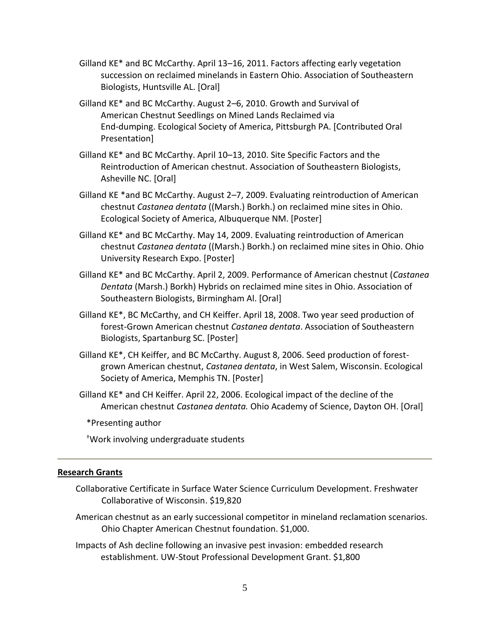- Gilland KE\* and BC McCarthy. April 13–16, 2011. Factors affecting early vegetation succession on reclaimed minelands in Eastern Ohio. Association of Southeastern Biologists, Huntsville AL. [Oral]
- Gilland KE\* and BC McCarthy. August 2–6, 2010. Growth and Survival of American Chestnut Seedlings on Mined Lands Reclaimed via End-dumping. Ecological Society of America, Pittsburgh PA. [Contributed Oral Presentation]
- Gilland KE\* and BC McCarthy. April 10–13, 2010. Site Specific Factors and the Reintroduction of American chestnut. Association of Southeastern Biologists, Asheville NC. [Oral]
- Gilland KE \*and BC McCarthy. August 2–7, 2009. Evaluating reintroduction of American chestnut *Castanea dentata* ((Marsh.) Borkh.) on reclaimed mine sites in Ohio. Ecological Society of America, Albuquerque NM. [Poster]
- Gilland KE\* and BC McCarthy. May 14, 2009. Evaluating reintroduction of American chestnut *Castanea dentata* ((Marsh.) Borkh.) on reclaimed mine sites in Ohio. Ohio University Research Expo. [Poster]
- Gilland KE\* and BC McCarthy. April 2, 2009. Performance of American chestnut (*Castanea Dentata* (Marsh.) Borkh) Hybrids on reclaimed mine sites in Ohio. Association of Southeastern Biologists, Birmingham Al. [Oral]
- Gilland KE\*, BC McCarthy, and CH Keiffer. April 18, 2008. Two year seed production of forest-Grown American chestnut *Castanea dentata*. Association of Southeastern Biologists, Spartanburg SC. [Poster]
- Gilland KE\*, CH Keiffer, and BC McCarthy. August 8, 2006. Seed production of forestgrown American chestnut, *Castanea dentata*, in West Salem, Wisconsin. Ecological Society of America, Memphis TN. [Poster]
- Gilland KE\* and CH Keiffer. April 22, 2006. Ecological impact of the decline of the American chestnut *Castanea dentata.* Ohio Academy of Science, Dayton OH. [Oral]
	- \*Presenting author

†Work involving undergraduate students

#### **Research Grants**

- Collaborative Certificate in Surface Water Science Curriculum Development. Freshwater Collaborative of Wisconsin. \$19,820
- American chestnut as an early successional competitor in mineland reclamation scenarios. Ohio Chapter American Chestnut foundation. \$1,000.
- Impacts of Ash decline following an invasive pest invasion: embedded research establishment. UW-Stout Professional Development Grant. \$1,800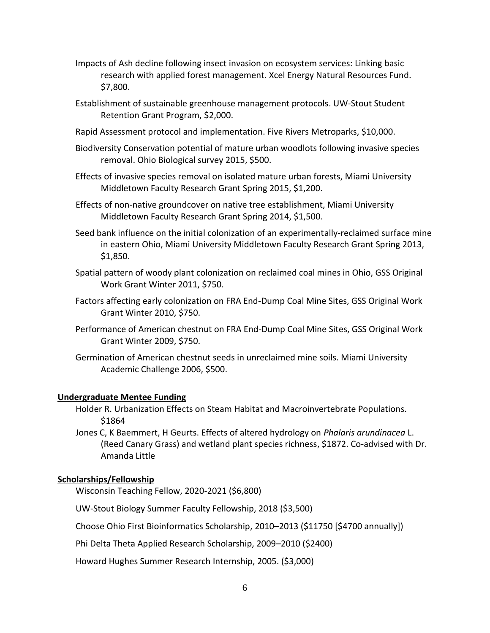- Impacts of Ash decline following insect invasion on ecosystem services: Linking basic research with applied forest management. Xcel Energy Natural Resources Fund. \$7,800.
- Establishment of sustainable greenhouse management protocols. UW-Stout Student Retention Grant Program, \$2,000.
- Rapid Assessment protocol and implementation. Five Rivers Metroparks, \$10,000.
- Biodiversity Conservation potential of mature urban woodlots following invasive species removal. Ohio Biological survey 2015, \$500.
- Effects of invasive species removal on isolated mature urban forests, Miami University Middletown Faculty Research Grant Spring 2015, \$1,200.
- Effects of non-native groundcover on native tree establishment, Miami University Middletown Faculty Research Grant Spring 2014, \$1,500.
- Seed bank influence on the initial colonization of an experimentally-reclaimed surface mine in eastern Ohio, Miami University Middletown Faculty Research Grant Spring 2013, \$1,850.
- Spatial pattern of woody plant colonization on reclaimed coal mines in Ohio, GSS Original Work Grant Winter 2011, \$750.
- Factors affecting early colonization on FRA End-Dump Coal Mine Sites, GSS Original Work Grant Winter 2010, \$750.
- Performance of American chestnut on FRA End-Dump Coal Mine Sites, GSS Original Work Grant Winter 2009, \$750.
- Germination of American chestnut seeds in unreclaimed mine soils. Miami University Academic Challenge 2006, \$500.

#### **Undergraduate Mentee Funding**

- Holder R. Urbanization Effects on Steam Habitat and Macroinvertebrate Populations. \$1864
- Jones C, K Baemmert, H Geurts. Effects of altered hydrology on *Phalaris arundinacea* L. (Reed Canary Grass) and wetland plant species richness, \$1872. Co-advised with Dr. Amanda Little

#### **Scholarships/Fellowship**

Wisconsin Teaching Fellow, 2020-2021 (\$6,800)

UW-Stout Biology Summer Faculty Fellowship, 2018 (\$3,500)

Choose Ohio First Bioinformatics Scholarship, 2010–2013 (\$11750 [\$4700 annually])

Phi Delta Theta Applied Research Scholarship, 2009–2010 (\$2400)

Howard Hughes Summer Research Internship, 2005. (\$3,000)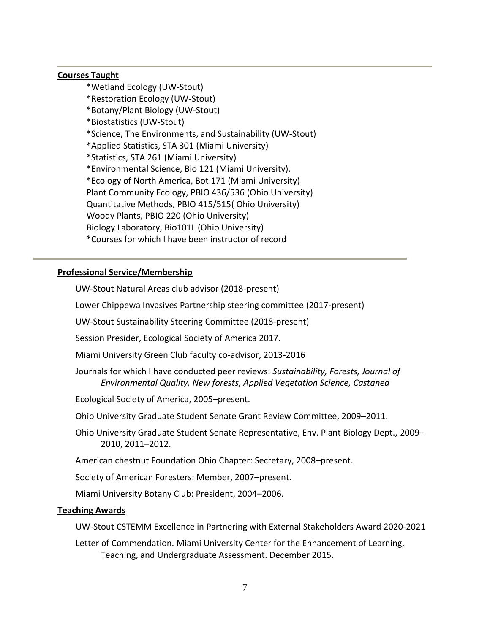## **Courses Taught**

\*Wetland Ecology (UW-Stout) \*Restoration Ecology (UW-Stout) \*Botany/Plant Biology (UW-Stout) \*Biostatistics (UW-Stout) \*Science, The Environments, and Sustainability (UW-Stout) \*Applied Statistics, STA 301 (Miami University) \*Statistics, STA 261 (Miami University) \*Environmental Science, Bio 121 (Miami University). \*Ecology of North America, Bot 171 (Miami University) Plant Community Ecology, PBIO 436/536 (Ohio University) Quantitative Methods, PBIO 415/515( Ohio University) Woody Plants, PBIO 220 (Ohio University) Biology Laboratory, Bio101L (Ohio University) **\***Courses for which I have been instructor of record

# **Professional Service/Membership**

UW-Stout Natural Areas club advisor (2018-present)

Lower Chippewa Invasives Partnership steering committee (2017-present)

UW-Stout Sustainability Steering Committee (2018-present)

Session Presider, Ecological Society of America 2017.

Miami University Green Club faculty co-advisor, 2013-2016

Journals for which I have conducted peer reviews: *Sustainability, Forests, Journal of Environmental Quality, New forests, Applied Vegetation Science, Castanea*

Ecological Society of America, 2005–present.

Ohio University Graduate Student Senate Grant Review Committee, 2009–2011.

Ohio University Graduate Student Senate Representative, Env. Plant Biology Dept., 2009– 2010, 2011–2012.

American chestnut Foundation Ohio Chapter: Secretary, 2008–present.

Society of American Foresters: Member, 2007–present.

Miami University Botany Club: President, 2004–2006.

# **Teaching Awards**

UW-Stout CSTEMM Excellence in Partnering with External Stakeholders Award 2020-2021

Letter of Commendation. Miami University Center for the Enhancement of Learning, Teaching, and Undergraduate Assessment. December 2015.